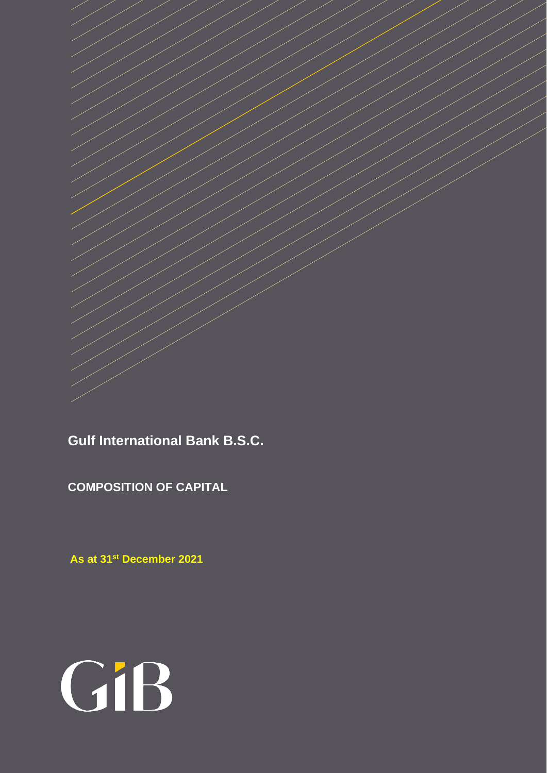**Gulf International Bank B.S.C.**

**COMPOSITION OF CAPITAL**

 **As at 31 st December 2021**

# GiB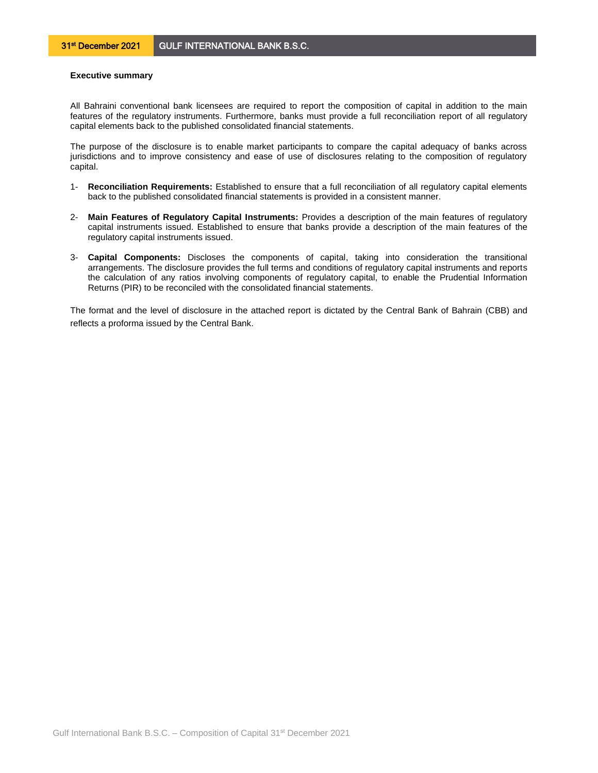## **Executive summary**

All Bahraini conventional bank licensees are required to report the composition of capital in addition to the main features of the regulatory instruments. Furthermore, banks must provide a full reconciliation report of all regulatory capital elements back to the published consolidated financial statements.

The purpose of the disclosure is to enable market participants to compare the capital adequacy of banks across jurisdictions and to improve consistency and ease of use of disclosures relating to the composition of regulatory capital.

- 1- **Reconciliation Requirements:** Established to ensure that a full reconciliation of all regulatory capital elements back to the published consolidated financial statements is provided in a consistent manner.
- 2- **Main Features of Regulatory Capital Instruments:** Provides a description of the main features of regulatory capital instruments issued. Established to ensure that banks provide a description of the main features of the regulatory capital instruments issued.
- 3- **Capital Components:** Discloses the components of capital, taking into consideration the transitional arrangements. The disclosure provides the full terms and conditions of regulatory capital instruments and reports the calculation of any ratios involving components of regulatory capital, to enable the Prudential Information Returns (PIR) to be reconciled with the consolidated financial statements.

The format and the level of disclosure in the attached report is dictated by the Central Bank of Bahrain (CBB) and reflects a proforma issued by the Central Bank.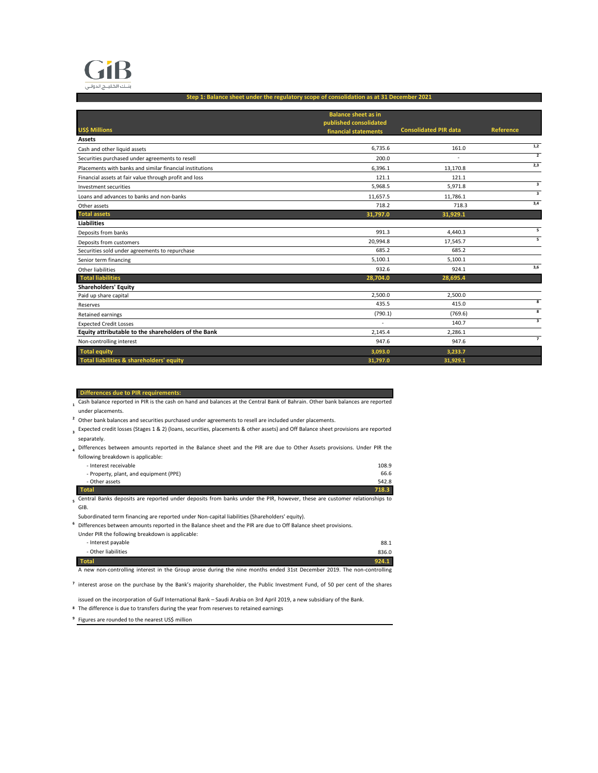

### **Step 1: Balance sheet under the regulatory scope of consolidation as at 31 December 2021**

|                                                          | <b>Balance sheet as in</b> |                              |                          |
|----------------------------------------------------------|----------------------------|------------------------------|--------------------------|
| <b>US\$ Millions</b>                                     | published consolidated     | <b>Consolidated PIR data</b> | <b>Reference</b>         |
|                                                          | financial statements       |                              |                          |
| Assets                                                   |                            |                              | 1,2                      |
| Cash and other liquid assets                             | 6.735.6                    | 161.0                        | $\overline{2}$           |
| Securities purchased under agreements to resell          | 200.0                      |                              |                          |
| Placements with banks and similar financial institutions | 6.396.1                    | 13,170.8                     | 2,3                      |
| Financial assets at fair value through profit and loss   | 121.1                      | 121.1                        |                          |
| Investment securities                                    | 5,968.5                    | 5,971.8                      | 3                        |
| Loans and advances to banks and non-banks                | 11,657.5                   | 11,786.1                     | $\overline{\mathbf{3}}$  |
| Other assets                                             | 718.2                      | 718.3                        | 3,4                      |
| <b>Total assets</b>                                      | 31,797.0                   | 31,929.1                     |                          |
| <b>Liabilities</b>                                       |                            |                              |                          |
| Deposits from banks                                      | 991.3                      | 4,440.3                      | 5                        |
| Deposits from customers                                  | 20,994.8                   | 17,545.7                     | $\overline{\phantom{a}}$ |
| Securities sold under agreements to repurchase           | 685.2                      | 685.2                        |                          |
| Senior term financing                                    | 5,100.1                    | 5,100.1                      |                          |
| Other liabilities                                        | 932.6                      | 924.1                        | 3,6                      |
| <b>Total liabilities</b>                                 | 28,704.0                   | 28,695.4                     |                          |
| <b>Shareholders' Equity</b>                              |                            |                              |                          |
| Paid up share capital                                    | 2,500.0                    | 2,500.0                      |                          |
| Reserves                                                 | 435.5                      | 415.0                        | $\overline{\mathbf{8}}$  |
| Retained earnings                                        | (790.1)                    | (769.6)                      | 8                        |
| <b>Expected Credit Losses</b>                            | ٠                          | 140.7                        | $\overline{\mathbf{3}}$  |
| Equity attributable to the shareholders of the Bank      | 2,145.4                    | 2.286.1                      |                          |
| Non-controlling interest                                 | 947.6                      | 947.6                        | $\overline{7}$           |
| <b>Total equity</b>                                      | 3,093.0                    | 3,233.7                      |                          |
| Total liabilities & shareholders' equity                 | 31,797.0                   | 31,929.1                     |                          |

### **Differences due to PIR requirements:**

 **1** Cash balance reported in PIR is the cash on hand and balances at the Central Bank of Bahrain. Other bank balances are reported under placements.

<sup>2</sup> Other bank balances and securities purchased under agreements to resell are included under placements.

- **3** Expected credit losses (Stages 1 & 2) (loans, securities, placements & other assets) and Off Balance sheet provisions are reported separately.
- **4** Differences between amounts reported in the Balance sheet and the PIR are due to Other Assets provisions. Under PIR the following breakdown is applicable:
	- Interest receivable 108.9<br>108.9 Property, plant, and equipment (PPE) 66.6 - Property, plant, and equipment (PPE) 66.6<br>- Other assets 542.8 - Other assets **Total 718.3**

 **5** Central Banks deposits are reported under deposits from banks under the PIR, however, these are customer relationships to GIB.

Subordinated term financing are reported under Non-capital liabilities (Shareholders' equity).

<sup>6</sup> Differences between amounts reported in the Balance sheet and the PIR are due to Off Balance sheet provisions.

| - Interest payable  |       |
|---------------------|-------|
|                     | 88.1  |
| - Other liabilities | 836.0 |
| <b>Total</b>        | 924.1 |

A new non-controlling interest in the Group arose during the nine months ended 31st December 2019. The non-controlling

<sup>7</sup> interest arose on the purchase by the Bank's majority shareholder, the Public Investment Fund, of 50 per cent of the shares

issued on the incorporation of Gulf International Bank – Saudi Arabia on 3rd April 2019, a new subsidiary of the Bank.

 **8** The difference is due to transfers during the year from reserves to retained earnings

<sup>9</sup> Figures are rounded to the nearest US\$ million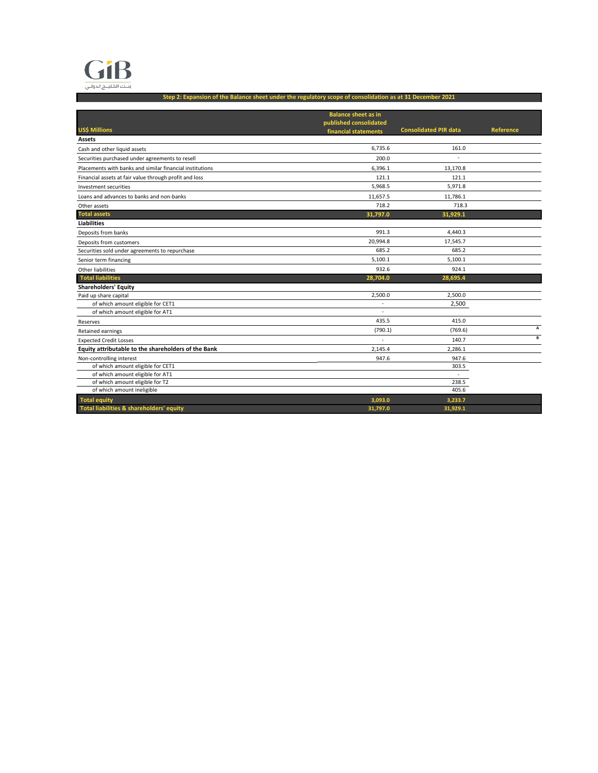

**Step 2: Expansion of the Balance sheet under the regulatory scope of consolidation as at 31 December 2021**

|                                                                       | <b>Balance sheet as in</b>                     |                              |           |
|-----------------------------------------------------------------------|------------------------------------------------|------------------------------|-----------|
| <b>US\$ Millions</b>                                                  | published consolidated<br>financial statements | <b>Consolidated PIR data</b> | Reference |
| Assets                                                                |                                                |                              |           |
| Cash and other liquid assets                                          | 6,735.6                                        | 161.0                        |           |
| Securities purchased under agreements to resell                       | 200.0                                          |                              |           |
| Placements with banks and similar financial institutions              | 6.396.1                                        | 13.170.8                     |           |
| Financial assets at fair value through profit and loss                | 121.1                                          | 121.1                        |           |
| Investment securities                                                 | 5,968.5                                        | 5,971.8                      |           |
| Loans and advances to banks and non-banks                             | 11,657.5                                       | 11,786.1                     |           |
| Other assets                                                          | 718.2                                          | 718.3                        |           |
| <b>Total assets</b>                                                   | 31,797.0                                       | 31,929.1                     |           |
| <b>Liabilities</b>                                                    |                                                |                              |           |
| Deposits from banks                                                   | 991.3                                          | 4,440.3                      |           |
| Deposits from customers                                               | 20,994.8                                       | 17,545.7                     |           |
| Securities sold under agreements to repurchase                        | 685.2                                          | 685.2                        |           |
|                                                                       | 5,100.1                                        | 5,100.1                      |           |
| Senior term financing                                                 |                                                |                              |           |
| Other liabilities                                                     | 932.6                                          | 924.1                        |           |
| <b>Total liabilities</b>                                              | 28,704.0                                       | 28,695.4                     |           |
| <b>Shareholders' Equity</b>                                           | 2,500.0                                        | 2,500.0                      |           |
| Paid up share capital                                                 | ÷,                                             | 2,500                        |           |
| of which amount eligible for CET1<br>of which amount eligible for AT1 | ٠                                              |                              |           |
| Reserves                                                              | 435.5                                          | 415.0                        |           |
|                                                                       | (790.1)                                        | (769.6)                      | A         |
| Retained earnings<br><b>Expected Credit Losses</b>                    |                                                | 140.7                        | B         |
| Equity attributable to the shareholders of the Bank                   | 2.145.4                                        | 2.286.1                      |           |
|                                                                       | 947.6                                          | 947.6                        |           |
| Non-controlling interest<br>of which amount eligible for CET1         |                                                | 303.5                        |           |
| of which amount eligible for AT1                                      |                                                | $\sim$                       |           |
| of which amount eligible for T2                                       |                                                | 238.5                        |           |
| of which amount ineligible                                            |                                                | 405.6                        |           |
| <b>Total equity</b>                                                   | 3,093.0                                        | 3,233.7                      |           |
| Total liabilities & shareholders' equity                              | 31,797.0                                       | 31.929.1                     |           |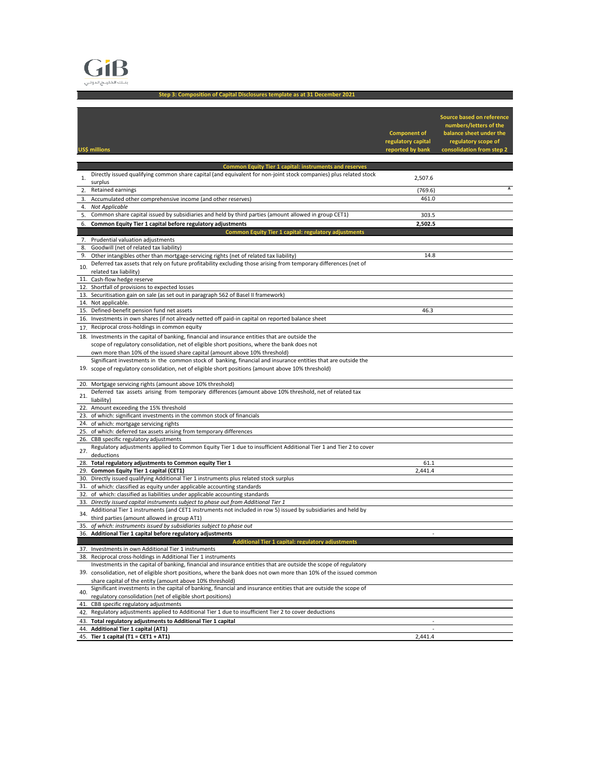

**Step 3: Composition of Capital Disclosures template as at 31 December 2021**

| US\$ millions                                                                                                                                                                                                        | <b>Component of</b><br>regulatory capital<br>reported by bank | Source based on reference<br>numbers/letters of the<br>balance sheet under the<br>regulatory scope of<br>consolidation from step 2 |
|----------------------------------------------------------------------------------------------------------------------------------------------------------------------------------------------------------------------|---------------------------------------------------------------|------------------------------------------------------------------------------------------------------------------------------------|
|                                                                                                                                                                                                                      |                                                               |                                                                                                                                    |
| <b>Common Equity Tier 1 capital: instruments and reserves</b>                                                                                                                                                        |                                                               |                                                                                                                                    |
| Directly issued qualifying common share capital (and equivalent for non-joint stock companies) plus related stock<br>1.<br>surplus                                                                                   | 2,507.6                                                       |                                                                                                                                    |
| Retained earnings<br>2.                                                                                                                                                                                              | (769.6)                                                       | A                                                                                                                                  |
| 3.<br>Accumulated other comprehensive income (and other reserves)                                                                                                                                                    | 461.0                                                         |                                                                                                                                    |
| 4.<br>Not Applicable                                                                                                                                                                                                 |                                                               |                                                                                                                                    |
| Common share capital issued by subsidiaries and held by third parties (amount allowed in group CET1)<br>5.                                                                                                           | 303.5                                                         |                                                                                                                                    |
| Common Equity Tier 1 capital before regulatory adjustments<br>6.                                                                                                                                                     | 2,502.5                                                       |                                                                                                                                    |
| Common Equity Tier 1 capital: regulatory adjustments<br>Prudential valuation adjustments<br>7.                                                                                                                       |                                                               |                                                                                                                                    |
| 8.<br>Goodwill (net of related tax liability)                                                                                                                                                                        |                                                               |                                                                                                                                    |
| Other intangibles other than mortgage-servicing rights (net of related tax liability)<br>9.                                                                                                                          | 14.8                                                          |                                                                                                                                    |
| Deferred tax assets that rely on future profitability excluding those arising from temporary differences (net of<br>10.                                                                                              |                                                               |                                                                                                                                    |
| related tax liability)                                                                                                                                                                                               |                                                               |                                                                                                                                    |
| 11. Cash-flow hedge reserve                                                                                                                                                                                          |                                                               |                                                                                                                                    |
| 12. Shortfall of provisions to expected losses<br>13. Securitisation gain on sale (as set out in paragraph 562 of Basel II framework)                                                                                |                                                               |                                                                                                                                    |
| 14. Not applicable.                                                                                                                                                                                                  |                                                               |                                                                                                                                    |
| 15. Defined-benefit pension fund net assets                                                                                                                                                                          | 46.3                                                          |                                                                                                                                    |
| 16. Investments in own shares (if not already netted off paid-in capital on reported balance sheet                                                                                                                   |                                                               |                                                                                                                                    |
| 17. Reciprocal cross-holdings in common equity                                                                                                                                                                       |                                                               |                                                                                                                                    |
| 18. Investments in the capital of banking, financial and insurance entities that are outside the                                                                                                                     |                                                               |                                                                                                                                    |
| scope of regulatory consolidation, net of eligible short positions, where the bank does not                                                                                                                          |                                                               |                                                                                                                                    |
| own more than 10% of the issued share capital (amount above 10% threshold)                                                                                                                                           |                                                               |                                                                                                                                    |
| Significant investments in the common stock of banking, financial and insurance entities that are outside the<br>19. scope of regulatory consolidation, net of eligible short positions (amount above 10% threshold) |                                                               |                                                                                                                                    |
|                                                                                                                                                                                                                      |                                                               |                                                                                                                                    |
| 20. Mortgage servicing rights (amount above 10% threshold)                                                                                                                                                           |                                                               |                                                                                                                                    |
| Deferred tax assets arising from temporary differences (amount above 10% threshold, net of related tax<br>21.                                                                                                        |                                                               |                                                                                                                                    |
| liability)                                                                                                                                                                                                           |                                                               |                                                                                                                                    |
| 22. Amount exceeding the 15% threshold                                                                                                                                                                               |                                                               |                                                                                                                                    |
| 23. of which: significant investments in the common stock of financials<br>24. of which: mortgage servicing rights                                                                                                   |                                                               |                                                                                                                                    |
| 25. of which: deferred tax assets arising from temporary differences                                                                                                                                                 |                                                               |                                                                                                                                    |
| 26. CBB specific regulatory adjustments                                                                                                                                                                              |                                                               |                                                                                                                                    |
| Regulatory adjustments applied to Common Equity Tier 1 due to insufficient Additional Tier 1 and Tier 2 to cover<br>27.                                                                                              |                                                               |                                                                                                                                    |
| deductions                                                                                                                                                                                                           |                                                               |                                                                                                                                    |
| 28. Total regulatory adjustments to Common equity Tier 1                                                                                                                                                             | 61.1                                                          |                                                                                                                                    |
| 29. Common Equity Tier 1 capital (CET1)<br>30. Directly issued qualifying Additional Tier 1 instruments plus related stock surplus                                                                                   | 2,441.4                                                       |                                                                                                                                    |
| 31. of which: classified as equity under applicable accounting standards                                                                                                                                             |                                                               |                                                                                                                                    |
| 32.<br>of which: classified as liabilities under applicable accounting standards                                                                                                                                     |                                                               |                                                                                                                                    |
| 33. Directly issued capital instruments subject to phase out from Additional Tier 1                                                                                                                                  |                                                               |                                                                                                                                    |
| Additional Tier 1 instruments (and CET1 instruments not included in row 5) issued by subsidiaries and held by<br>34.                                                                                                 |                                                               |                                                                                                                                    |
| third parties (amount allowed in group AT1)                                                                                                                                                                          |                                                               |                                                                                                                                    |
| 35. of which: instruments issued by subsidiaries subject to phase out<br>Additional Tier 1 capital before regulatory adjustments                                                                                     | ٠                                                             |                                                                                                                                    |
| 36.                                                                                                                                                                                                                  |                                                               |                                                                                                                                    |
| 37. Investments in own Additional Tier 1 instruments                                                                                                                                                                 |                                                               |                                                                                                                                    |
| 38. Reciprocal cross-holdings in Additional Tier 1 instruments                                                                                                                                                       |                                                               |                                                                                                                                    |
| Investments in the capital of banking, financial and insurance entities that are outside the scope of regulatory                                                                                                     |                                                               |                                                                                                                                    |
| 39. consolidation, net of eligible short positions, where the bank does not own more than 10% of the issued common                                                                                                   |                                                               |                                                                                                                                    |
| share capital of the entity (amount above 10% threshold)<br>Significant investments in the capital of banking, financial and insurance entities that are outside the scope of                                        |                                                               |                                                                                                                                    |
| 40.<br>regulatory consolidation (net of eligible short positions)                                                                                                                                                    |                                                               |                                                                                                                                    |
| 41. CBB specific regulatory adjustments                                                                                                                                                                              |                                                               |                                                                                                                                    |
| 42. Regulatory adjustments applied to Additional Tier 1 due to insufficient Tier 2 to cover deductions                                                                                                               |                                                               |                                                                                                                                    |
| 43. Total regulatory adjustments to Additional Tier 1 capital                                                                                                                                                        |                                                               |                                                                                                                                    |
| <b>Additional Tier 1 capital (AT1)</b><br>44.                                                                                                                                                                        | $\overline{a}$                                                |                                                                                                                                    |
| 45. Tier 1 capital (T1 = CET1 + AT1)                                                                                                                                                                                 | 2,441.4                                                       |                                                                                                                                    |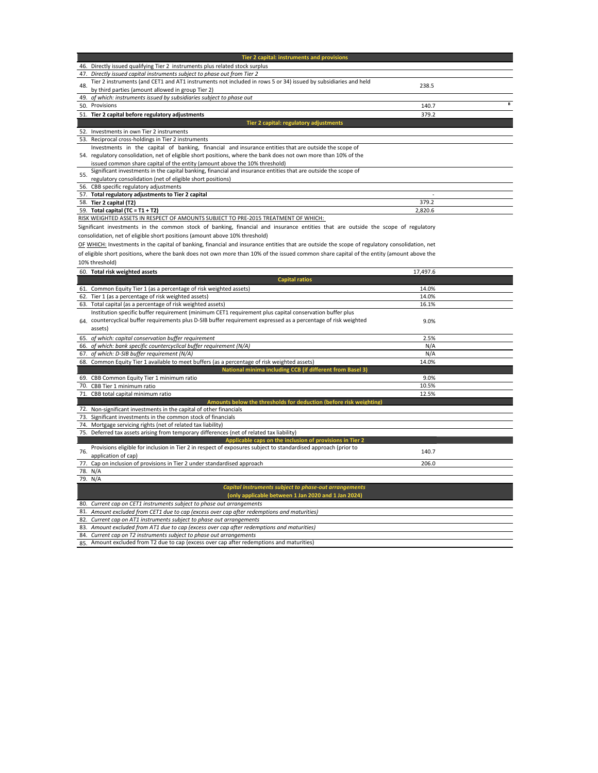| Tier 2 capital: instruments and provisions                                                                                                                                                                                     |         |  |
|--------------------------------------------------------------------------------------------------------------------------------------------------------------------------------------------------------------------------------|---------|--|
| Directly issued qualifying Tier 2 instruments plus related stock surplus<br>46.                                                                                                                                                |         |  |
| Directly issued capital instruments subject to phase out from Tier 2<br>47.                                                                                                                                                    |         |  |
| Tier 2 instruments (and CET1 and AT1 instruments not included in rows 5 or 34) issued by subsidiaries and held<br>48.                                                                                                          | 238.5   |  |
| by third parties (amount allowed in group Tier 2)                                                                                                                                                                              |         |  |
| 49. of which: instruments issued by subsidiaries subject to phase out                                                                                                                                                          |         |  |
| 50. Provisions                                                                                                                                                                                                                 | 140.7   |  |
| 51. Tier 2 capital before regulatory adjustments                                                                                                                                                                               | 379.2   |  |
| Tier 2 capital: regulatory adjustments                                                                                                                                                                                         |         |  |
| Investments in own Tier 2 instruments<br>52.                                                                                                                                                                                   |         |  |
| 53. Reciprocal cross-holdings in Tier 2 instruments                                                                                                                                                                            |         |  |
| Investments in the capital of banking, financial and insurance entities that are outside the scope of                                                                                                                          |         |  |
| 54. regulatory consolidation, net of eligible short positions, where the bank does not own more than 10% of the                                                                                                                |         |  |
| issued common share capital of the entity (amount above the 10% threshold)                                                                                                                                                     |         |  |
| Significant investments in the capital banking, financial and insurance entities that are outside the scope of<br>55.                                                                                                          |         |  |
| regulatory consolidation (net of eligible short positions)                                                                                                                                                                     |         |  |
| 56. CBB specific regulatory adjustments                                                                                                                                                                                        |         |  |
| Total regulatory adjustments to Tier 2 capital<br>57.                                                                                                                                                                          |         |  |
| 58. Tier 2 capital (T2)                                                                                                                                                                                                        | 379.2   |  |
| Total capital (TC = $T1 + T2$ )<br>59.                                                                                                                                                                                         | 2,820.6 |  |
| RISK WEIGHTED ASSETS IN RESPECT OF AMOUNTS SUBJECT TO PRE-2015 TREATMENT OF WHICH:                                                                                                                                             |         |  |
| AND ARRESTS TO A CONSTRUCTION OF THE CONTRACT RESIDENCE AND THE RELEASED OF THE CONTRACT OF THE CONSTRUCTION OF THE CONTRACT OF THE CONTRACT OF THE CONTRACT OF THE CONTRACT OF THE CONTRACT OF THE CONTRACT OF THE CONTRACT O |         |  |

Significant investments in the common stock of banking, financial and insurance entities that are outside the scope of regulatory consolidation, net of eligible short positions (amount above 10% threshold)

OF WHICH: Investments in the capital of banking, financial and insurance entities that are outside the scope of regulatory consolidation, net

of eligible short positions, where the bank does not own more than 10% of the issued common share capital of the entity (amount above the

10% threshold)

| 1070 GHI CUI DIG |                                                                                                                |          |  |  |
|------------------|----------------------------------------------------------------------------------------------------------------|----------|--|--|
|                  | 60. Total risk weighted assets                                                                                 | 17,497.6 |  |  |
|                  | <b>Capital ratios</b>                                                                                          |          |  |  |
|                  | 61. Common Equity Tier 1 (as a percentage of risk weighted assets)                                             | 14.0%    |  |  |
|                  | 62. Tier 1 (as a percentage of risk weighted assets)                                                           | 14.0%    |  |  |
|                  | 63. Total capital (as a percentage of risk weighted assets)                                                    | 16.1%    |  |  |
|                  | Institution specific buffer requirement (minimum CET1 requirement plus capital conservation buffer plus        |          |  |  |
| 64.              | countercyclical buffer requirements plus D-SIB buffer requirement expressed as a percentage of risk weighted   | 9.0%     |  |  |
|                  | assets)                                                                                                        |          |  |  |
|                  | 65. of which: capital conservation buffer requirement                                                          | 2.5%     |  |  |
|                  | 66. of which: bank specific countercyclical buffer requirement (N/A)                                           | N/A      |  |  |
| 67.              | of which: D-SIB buffer requirement (N/A)                                                                       | N/A      |  |  |
|                  | 68. Common Equity Tier 1 available to meet buffers (as a percentage of risk weighted assets)                   | 14.0%    |  |  |
|                  | National minima including CCB (if different from Basel 3)                                                      |          |  |  |
| 69.              | CBB Common Equity Tier 1 minimum ratio                                                                         | 9.0%     |  |  |
|                  | 70. CBB Tier 1 minimum ratio                                                                                   | 10.5%    |  |  |
|                  | 71. CBB total capital minimum ratio                                                                            | 12.5%    |  |  |
|                  | Amounts below the thresholds for deduction (before risk weighting)                                             |          |  |  |
|                  | 72. Non-significant investments in the capital of other financials                                             |          |  |  |
|                  | 73. Significant investments in the common stock of financials                                                  |          |  |  |
|                  | 74. Mortgage servicing rights (net of related tax liability)                                                   |          |  |  |
|                  | 75. Deferred tax assets arising from temporary differences (net of related tax liability)                      |          |  |  |
|                  | Applicable caps on the inclusion of provisions in Tier 2                                                       |          |  |  |
| 76.              | Provisions eligible for inclusion in Tier 2 in respect of exposures subject to standardised approach (prior to | 140.7    |  |  |
|                  | application of cap)                                                                                            |          |  |  |
| 77.              | Cap on inclusion of provisions in Tier 2 under standardised approach                                           | 206.0    |  |  |
|                  | 78. N/A                                                                                                        |          |  |  |
|                  | 79. N/A                                                                                                        |          |  |  |
|                  | Capital instruments subject to phase-out arrangements                                                          |          |  |  |
|                  | (only applicable between 1 Jan 2020 and 1 Jan 2024)                                                            |          |  |  |
| 80.              | Current cap on CET1 instruments subject to phase out arrangements                                              |          |  |  |
| 81.              | Amount excluded from CET1 due to cap (excess over cap after redemptions and maturities)                        |          |  |  |
| 82.              | Current cap on AT1 instruments subject to phase out arrangements                                               |          |  |  |
|                  | 83. Amount excluded from AT1 due to cap (excess over cap after redemptions and maturities)                     |          |  |  |
|                  | 84. Current cap on T2 instruments subject to phase out arrangements                                            |          |  |  |
|                  | or Amount oveluded from T3 due to can lovence over can ofter redemptions and maturities)                       |          |  |  |

85. Amount excluded from T2 due to cap (excess over cap after redemptions and maturities)